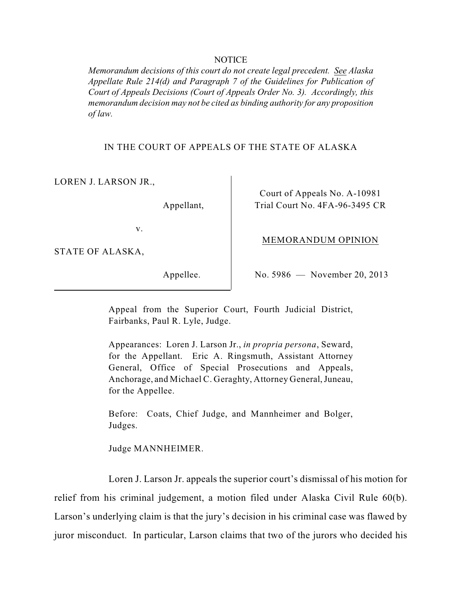#### NOTICE

*Memorandum decisions of this court do not create legal precedent. See Alaska Appellate Rule 214(d) and Paragraph 7 of the Guidelines for Publication of Court of Appeals Decisions (Court of Appeals Order No. 3). Accordingly, this memorandum decision may not be cited as binding authority for any proposition of law.* 

IN THE COURT OF APPEALS OF THE STATE OF ALASKA

LOREN J. LARSON JR.,

Appellant,

Court of Appeals No. A-10981 Trial Court No. 4FA-96-3495 CR

v.

STATE OF ALASKA,

Appellee.

No. 5986 — November 20, 2013

MEMORANDUM OPINION

Appeal from the Superior Court, Fourth Judicial District, Fairbanks, Paul R. Lyle, Judge.

 Appearances: Loren J. Larson Jr., *in propria persona*, Seward, for the Appellant. Eric A. Ringsmuth, Assistant Attorney General, Office of Special Prosecutions and Appeals, Anchorage, and Michael C. Geraghty, Attorney General, Juneau, for the Appellee.

Before: Coats, Chief Judge, and Mannheimer and Bolger, Judges.

Judge MANNHEIMER.

 Loren J. Larson Jr. appeals the superior court's dismissal of his motion for Larson's underlying claim is that the jury's decision in his criminal case was flawed by relief from his criminal judgement, a motion filed under Alaska Civil Rule 60(b). juror misconduct. In particular, Larson claims that two of the jurors who decided his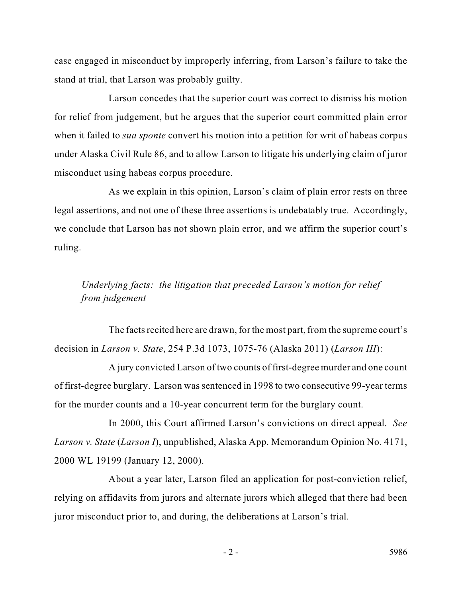case engaged in misconduct by improperly inferring, from Larson's failure to take the stand at trial, that Larson was probably guilty.

 Larson concedes that the superior court was correct to dismiss his motion under Alaska Civil Rule 86, and to allow Larson to litigate his underlying claim of juror for relief from judgement, but he argues that the superior court committed plain error when it failed to *sua sponte* convert his motion into a petition for writ of habeas corpus misconduct using habeas corpus procedure.

 As we explain in this opinion, Larson's claim of plain error rests on three legal assertions, and not one of these three assertions is undebatably true. Accordingly, we conclude that Larson has not shown plain error, and we affirm the superior court's ruling.

*Underlying facts: the litigation that preceded Larson's motion for relief from judgement* 

 The facts recited here are drawn, for the most part, from the supreme court's decision in *Larson v. State*, 254 P.3d 1073, 1075-76 (Alaska 2011) (*Larson III*):

 A jury convicted Larson of two counts of first-degree murder and one count of first-degree burglary. Larson was sentenced in 1998 to two consecutive 99-year terms for the murder counts and a 10-year concurrent term for the burglary count.

In 2000, this Court affirmed Larson's convictions on direct appeal. *See Larson v. State* (*Larson I*), unpublished, Alaska App. Memorandum Opinion No. 4171, 2000 WL 19199 (January 12, 2000).

About a year later, Larson filed an application for post-conviction relief, relying on affidavits from jurors and alternate jurors which alleged that there had been juror misconduct prior to, and during, the deliberations at Larson's trial.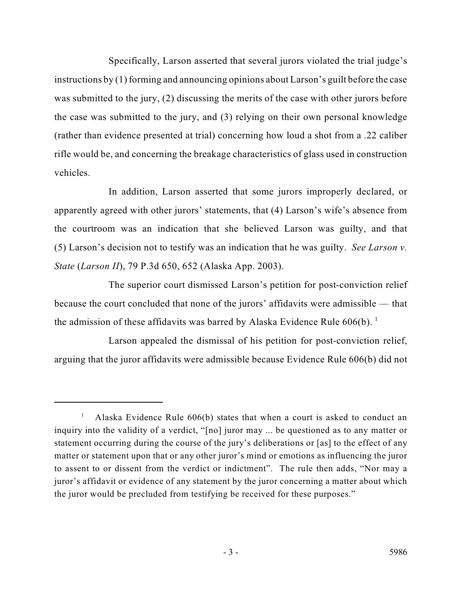instructions by (1) forming and announcing opinions about Larson's guilt before the case rifle would be, and concerning the breakage characteristics of glass used in construction Specifically, Larson asserted that several jurors violated the trial judge's was submitted to the jury, (2) discussing the merits of the case with other jurors before the case was submitted to the jury, and (3) relying on their own personal knowledge (rather than evidence presented at trial) concerning how loud a shot from a .22 caliber vehicles.

 (5) Larson's decision not to testify was an indication that he was guilty. *See Larson v.*  In addition, Larson asserted that some jurors improperly declared, or apparently agreed with other jurors' statements, that (4) Larson's wife's absence from the courtroom was an indication that she believed Larson was guilty, and that *State* (*Larson II*), 79 P.3d 650, 652 (Alaska App. 2003).

the admission of these affidavits was barred by Alaska Evidence Rule  $606(b)$ .<sup>1</sup> The superior court dismissed Larson's petition for post-conviction relief because the court concluded that none of the jurors' affidavits were admissible — that

Larson appealed the dismissal of his petition for post-conviction relief, arguing that the juror affidavits were admissible because Evidence Rule 606(b) did not

<sup>&</sup>lt;sup>1</sup> Alaska Evidence Rule  $606(b)$  states that when a court is asked to conduct an to assent to or dissent from the verdict or indictment". The rule then adds, "Nor may a inquiry into the validity of a verdict, "[no] juror may ... be questioned as to any matter or statement occurring during the course of the jury's deliberations or [as] to the effect of any matter or statement upon that or any other juror's mind or emotions as influencing the juror juror's affidavit or evidence of any statement by the juror concerning a matter about which the juror would be precluded from testifying be received for these purposes."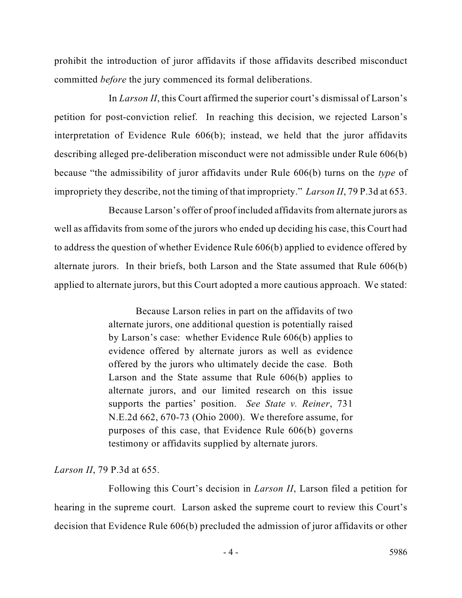prohibit the introduction of juror affidavits if those affidavits described misconduct committed *before* the jury commenced its formal deliberations.

 In *Larson II*, this Court affirmed the superior court's dismissal of Larson's petition for post-conviction relief. In reaching this decision, we rejected Larson's interpretation of Evidence Rule 606(b); instead, we held that the juror affidavits describing alleged pre-deliberation misconduct were not admissible under Rule 606(b) because "the admissibility of juror affidavits under Rule 606(b) turns on the *type* of impropriety they describe, not the timing of that impropriety." *Larson II*, 79 P.3d at 653.

 alternate jurors. In their briefs, both Larson and the State assumed that Rule 606(b) applied to alternate jurors, but this Court adopted a more cautious approach. We stated: Because Larson's offer of proof included affidavits from alternate jurors as well as affidavits from some of the jurors who ended up deciding his case, this Court had to address the question of whether Evidence Rule 606(b) applied to evidence offered by

> alternate jurors, one additional question is potentially raised N.E.2d 662, 670-73 (Ohio 2000). We therefore assume, for purposes of this case, that Evidence Rule 606(b) governs Because Larson relies in part on the affidavits of two by Larson's case: whether Evidence Rule 606(b) applies to evidence offered by alternate jurors as well as evidence offered by the jurors who ultimately decide the case. Both Larson and the State assume that Rule 606(b) applies to alternate jurors, and our limited research on this issue supports the parties' position. *See State v. Reiner*, 731 testimony or affidavits supplied by alternate jurors.

### *Larson II*, 79 P.3d at 655.

Following this Court's decision in *Larson II*, Larson filed a petition for hearing in the supreme court. Larson asked the supreme court to review this Court's decision that Evidence Rule 606(b) precluded the admission of juror affidavits or other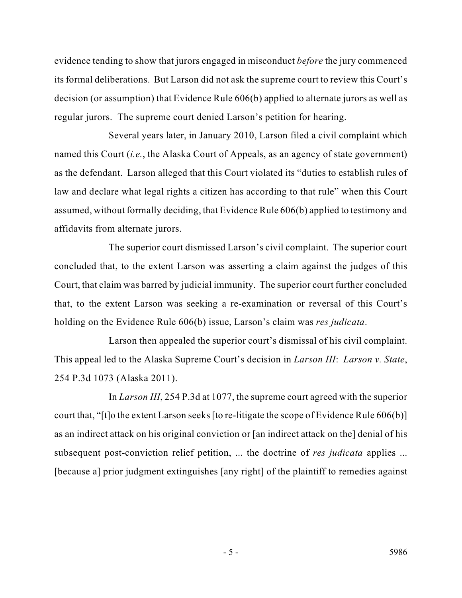its formal deliberations. But Larson did not ask the supreme court to review this Court's evidence tending to show that jurors engaged in misconduct *before* the jury commenced decision (or assumption) that Evidence Rule 606(b) applied to alternate jurors as well as regular jurors. The supreme court denied Larson's petition for hearing.

 named this Court (*i.e.*, the Alaska Court of Appeals, as an agency of state government) assumed, without formally deciding, that Evidence Rule 606(b) applied to testimony and Several years later, in January 2010, Larson filed a civil complaint which as the defendant. Larson alleged that this Court violated its "duties to establish rules of law and declare what legal rights a citizen has according to that rule" when this Court affidavits from alternate jurors.

 The superior court dismissed Larson's civil complaint. The superior court Court, that claim was barred by judicial immunity. The superior court further concluded concluded that, to the extent Larson was asserting a claim against the judges of this that, to the extent Larson was seeking a re-examination or reversal of this Court's holding on the Evidence Rule 606(b) issue, Larson's claim was *res judicata*.

 This appeal led to the Alaska Supreme Court's decision in *Larson III*: *Larson v. State*, Larson then appealed the superior court's dismissal of his civil complaint. 254 P.3d 1073 (Alaska 2011).

 as an indirect attack on his original conviction or [an indirect attack on the] denial of his In *Larson III*, 254 P.3d at 1077, the supreme court agreed with the superior court that, "[t]o the extent Larson seeks [to re-litigate the scope of Evidence Rule 606(b)] subsequent post-conviction relief petition, ... the doctrine of *res judicata* applies ... [because a] prior judgment extinguishes [any right] of the plaintiff to remedies against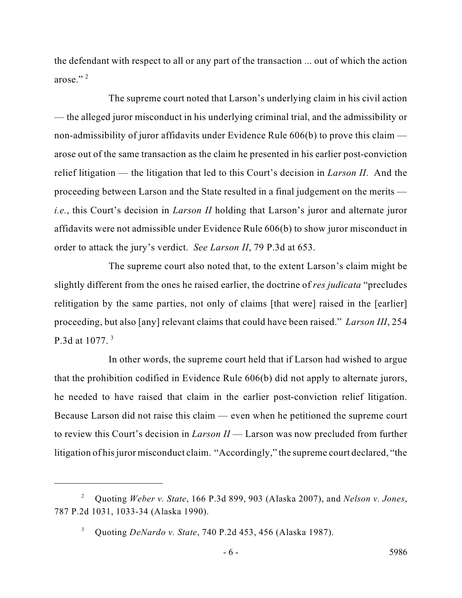the defendant with respect to all or any part of the transaction ... out of which the action arose."<sup>2</sup>

 — the alleged juror misconduct in his underlying criminal trial, and the admissibility or relief litigation — the litigation that led to this Court's decision in *Larson II*. And the proceeding between Larson and the State resulted in a final judgement on the merits — affidavits were not admissible under Evidence Rule 606(b) to show juror misconduct in The supreme court noted that Larson's underlying claim in his civil action non-admissibility of juror affidavits under Evidence Rule 606(b) to prove this claim arose out of the same transaction as the claim he presented in his earlier post-conviction *i.e.*, this Court's decision in *Larson II* holding that Larson's juror and alternate juror order to attack the jury's verdict. *See Larson II*, 79 P.3d at 653.

 slightly different from the ones he raised earlier, the doctrine of *res judicata* "precludes proceeding, but also [any] relevant claims that could have been raised." *Larson III*, 254 The supreme court also noted that, to the extent Larson's claim might be relitigation by the same parties, not only of claims [that were] raised in the [earlier] P.3d at 1077. 3

 In other words, the supreme court held that if Larson had wished to argue litigation of his juror misconduct claim. "Accordingly," the supreme court declared, "the that the prohibition codified in Evidence Rule 606(b) did not apply to alternate jurors, he needed to have raised that claim in the earlier post-conviction relief litigation. Because Larson did not raise this claim — even when he petitioned the supreme court to review this Court's decision in *Larson II* — Larson was now precluded from further

 2 Quoting *Weber v. State*, 166 P.3d 899, 903 (Alaska 2007), and *Nelson v. Jones*, 787 P.2d 1031, 1033-34 (Alaska 1990).

<sup>3</sup> Quoting *DeNardo v. State*, 740 P.2d 453, 456 (Alaska 1987).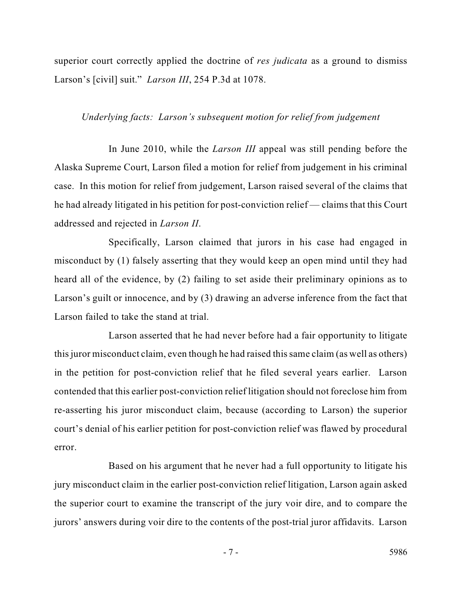superior court correctly applied the doctrine of *res judicata* as a ground to dismiss Larson's [civil] suit." *Larson III*, 254 P.3d at 1078.

## *Underlying facts: Larson's subsequent motion for relief from judgement*

 Alaska Supreme Court, Larson filed a motion for relief from judgement in his criminal case. In this motion for relief from judgement, Larson raised several of the claims that In June 2010, while the *Larson III* appeal was still pending before the he had already litigated in his petition for post-conviction relief — claims that this Court addressed and rejected in *Larson II*.

Specifically, Larson claimed that jurors in his case had engaged in misconduct by (1) falsely asserting that they would keep an open mind until they had heard all of the evidence, by (2) failing to set aside their preliminary opinions as to Larson's guilt or innocence, and by (3) drawing an adverse inference from the fact that Larson failed to take the stand at trial.

 Larson asserted that he had never before had a fair opportunity to litigate in the petition for post-conviction relief that he filed several years earlier. Larson court's denial of his earlier petition for post-conviction relief was flawed by procedural this juror misconduct claim, even though he had raised this same claim (as well as others) contended that this earlier post-conviction relief litigation should not foreclose him from re-asserting his juror misconduct claim, because (according to Larson) the superior error.

 jurors' answers during voir dire to the contents of the post-trial juror affidavits. Larson Based on his argument that he never had a full opportunity to litigate his jury misconduct claim in the earlier post-conviction relief litigation, Larson again asked the superior court to examine the transcript of the jury voir dire, and to compare the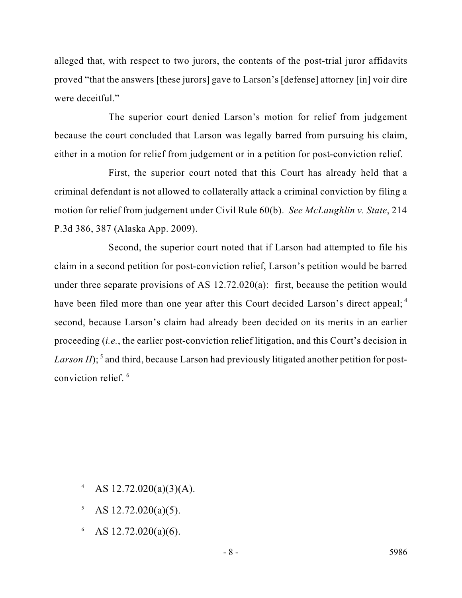proved "that the answers [these jurors] gave to Larson's [defense] attorney [in] voir dire alleged that, with respect to two jurors, the contents of the post-trial juror affidavits were deceitful."

The superior court denied Larson's motion for relief from judgement because the court concluded that Larson was legally barred from pursuing his claim, either in a motion for relief from judgement or in a petition for post-conviction relief.

 motion for relief from judgement under Civil Rule 60(b). *See McLaughlin v. State*, 214 First, the superior court noted that this Court has already held that a criminal defendant is not allowed to collaterally attack a criminal conviction by filing a P.3d 386, 387 (Alaska App. 2009).

 claim in a second petition for post-conviction relief, Larson's petition would be barred under three separate provisions of AS 12.72.020(a): first, because the petition would second, because Larson's claim had already been decided on its merits in an earlier proceeding (*i.e.*, the earlier post-conviction relief litigation, and this Court's decision in Larson II);<sup>5</sup> and third, because Larson had previously litigated another petition for post-Second, the superior court noted that if Larson had attempted to file his have been filed more than one year after this Court decided Larson's direct appeal;<sup>4</sup> conviction relief. 6

- 4 AS  $12.72.020(a)(3)(A)$ .
- $5$  AS 12.72.020(a)(5).
- $6$  AS 12.72.020(a)(6).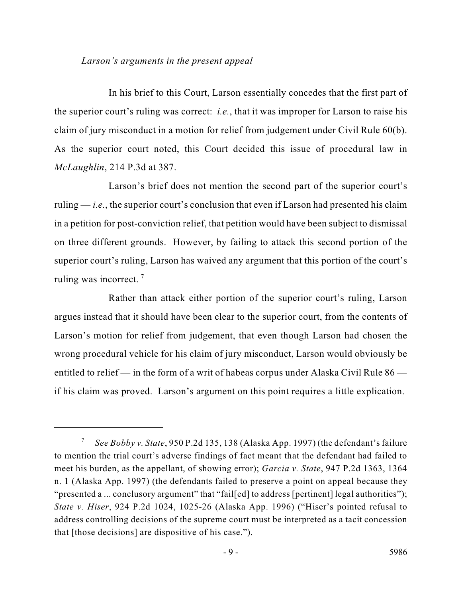## *Larson's arguments in the present appeal*

 In his brief to this Court, Larson essentially concedes that the first part of claim of jury misconduct in a motion for relief from judgement under Civil Rule 60(b). the superior court's ruling was correct: *i.e.*, that it was improper for Larson to raise his As the superior court noted, this Court decided this issue of procedural law in *McLaughlin*, 214 P.3d at 387.

 ruling — *i.e.*, the superior court's conclusion that even if Larson had presented his claim in a petition for post-conviction relief, that petition would have been subject to dismissal on three different grounds. However, by failing to attack this second portion of the superior court's ruling, Larson has waived any argument that this portion of the court's ruling was incorrect.<sup>7</sup> Larson's brief does not mention the second part of the superior court's

 argues instead that it should have been clear to the superior court, from the contents of wrong procedural vehicle for his claim of jury misconduct, Larson would obviously be entitled to relief — in the form of a writ of habeas corpus under Alaska Civil Rule  $86$  — if his claim was proved. Larson's argument on this point requires a little explication. Rather than attack either portion of the superior court's ruling, Larson Larson's motion for relief from judgement, that even though Larson had chosen the

 <sup>7</sup>*See Bobby v. State*, 950 P.2d 135, 138 (Alaska App. 1997) (the defendant's failure to mention the trial court's adverse findings of fact meant that the defendant had failed to meet his burden, as the appellant, of showing error); *Garcia v. State*, 947 P.2d 1363, 1364 n. 1 (Alaska App. 1997) (the defendants failed to preserve a point on appeal because they "presented a ... conclusory argument" that "fail[ed] to address [pertinent] legal authorities"); *State v. Hiser*, 924 P.2d 1024, 1025-26 (Alaska App. 1996) ("Hiser's pointed refusal to address controlling decisions of the supreme court must be interpreted as a tacit concession that [those decisions] are dispositive of his case.").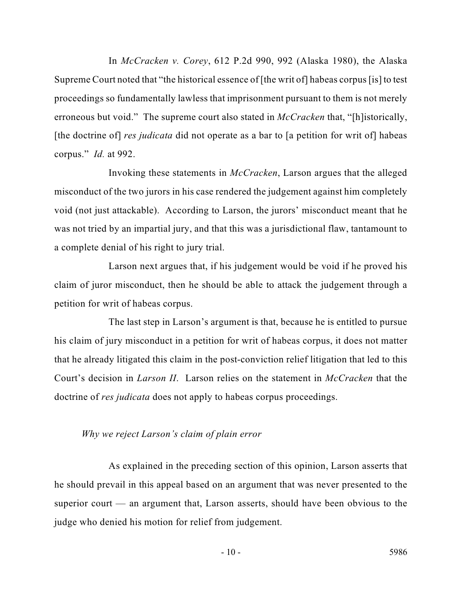Supreme Court noted that "the historical essence of [the writ of] habeas corpus [is] to test proceedings so fundamentally lawless that imprisonment pursuant to them is not merely erroneous but void." The supreme court also stated in *McCracken* that, "[h]istorically, In *McCracken v. Corey*, 612 P.2d 990, 992 (Alaska 1980), the Alaska [the doctrine of] *res judicata* did not operate as a bar to [a petition for writ of] habeas corpus." *Id.* at 992.

 Invoking these statements in *McCracken*, Larson argues that the alleged misconduct of the two jurors in his case rendered the judgement against him completely void (not just attackable). According to Larson, the jurors' misconduct meant that he was not tried by an impartial jury, and that this was a jurisdictional flaw, tantamount to a complete denial of his right to jury trial.

Larson next argues that, if his judgement would be void if he proved his claim of juror misconduct, then he should be able to attack the judgement through a petition for writ of habeas corpus.

 The last step in Larson's argument is that, because he is entitled to pursue his claim of jury misconduct in a petition for writ of habeas corpus, it does not matter that he already litigated this claim in the post-conviction relief litigation that led to this Court's decision in *Larson II*. Larson relies on the statement in *McCracken* that the doctrine of *res judicata* does not apply to habeas corpus proceedings.

### *Why we reject Larson's claim of plain error*

As explained in the preceding section of this opinion, Larson asserts that he should prevail in this appeal based on an argument that was never presented to the superior court — an argument that, Larson asserts, should have been obvious to the judge who denied his motion for relief from judgement.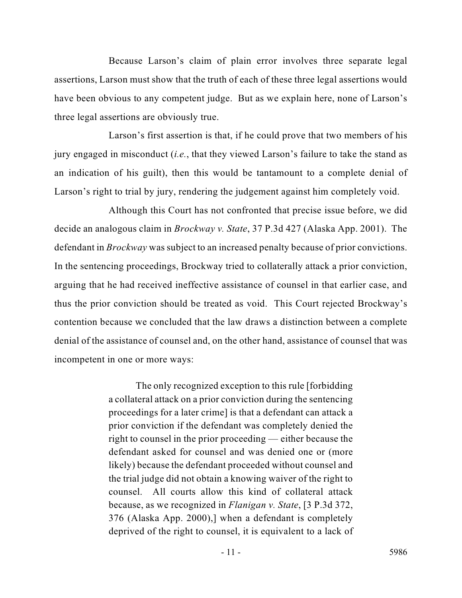assertions, Larson must show that the truth of each of these three legal assertions would Because Larson's claim of plain error involves three separate legal have been obvious to any competent judge. But as we explain here, none of Larson's three legal assertions are obviously true.

 Larson's first assertion is that, if he could prove that two members of his jury engaged in misconduct (*i.e.*, that they viewed Larson's failure to take the stand as an indication of his guilt), then this would be tantamount to a complete denial of Larson's right to trial by jury, rendering the judgement against him completely void.

 arguing that he had received ineffective assistance of counsel in that earlier case, and contention because we concluded that the law draws a distinction between a complete denial of the assistance of counsel and, on the other hand, assistance of counsel that was Although this Court has not confronted that precise issue before, we did decide an analogous claim in *Brockway v. State*, 37 P.3d 427 (Alaska App. 2001). The defendant in *Brockway* was subject to an increased penalty because of prior convictions. In the sentencing proceedings, Brockway tried to collaterally attack a prior conviction, thus the prior conviction should be treated as void. This Court rejected Brockway's incompetent in one or more ways:

> proceedings for a later crime] is that a defendant can attack a right to counsel in the prior proceeding — either because the likely) because the defendant proceeded without counsel and the trial judge did not obtain a knowing waiver of the right to counsel. All courts allow this kind of collateral attack The only recognized exception to this rule [forbidding a collateral attack on a prior conviction during the sentencing prior conviction if the defendant was completely denied the defendant asked for counsel and was denied one or (more because, as we recognized in *Flanigan v. State*, [3 P.3d 372, 376 (Alaska App. 2000),] when a defendant is completely deprived of the right to counsel, it is equivalent to a lack of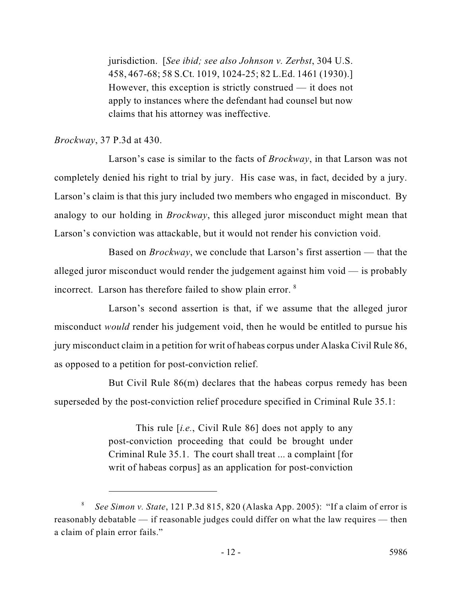jurisdiction. [*See ibid; see also Johnson v. Zerbst*, 304 U.S. 458, 467-68; 58 S.Ct. 1019, 1024-25; 82 L.Ed. 1461 (1930).] However, this exception is strictly construed — it does not apply to instances where the defendant had counsel but now claims that his attorney was ineffective.

# *Brockway*, 37 P.3d at 430.

 completely denied his right to trial by jury. His case was, in fact, decided by a jury. Larson's case is similar to the facts of *Brockway*, in that Larson was not Larson's claim is that this jury included two members who engaged in misconduct. By analogy to our holding in *Brockway*, this alleged juror misconduct might mean that Larson's conviction was attackable, but it would not render his conviction void.

incorrect. Larson has therefore failed to show plain error. <sup>8</sup> Based on *Brockway*, we conclude that Larson's first assertion — that the alleged juror misconduct would render the judgement against him void — is probably

 jury misconduct claim in a petition for writ of habeas corpus under Alaska Civil Rule 86, Larson's second assertion is that, if we assume that the alleged juror misconduct *would* render his judgement void, then he would be entitled to pursue his as opposed to a petition for post-conviction relief.

But Civil Rule 86(m) declares that the habeas corpus remedy has been superseded by the post-conviction relief procedure specified in Criminal Rule 35.1:

> Criminal Rule 35.1. The court shall treat ... a complaint [for This rule [*i.e.*, Civil Rule 86] does not apply to any post-conviction proceeding that could be brought under writ of habeas corpus] as an application for post-conviction

<sup>8</sup>*See Simon v. State*, 121 P.3d 815, 820 (Alaska App. 2005): "If a claim of error is reasonably debatable — if reasonable judges could differ on what the law requires — then a claim of plain error fails."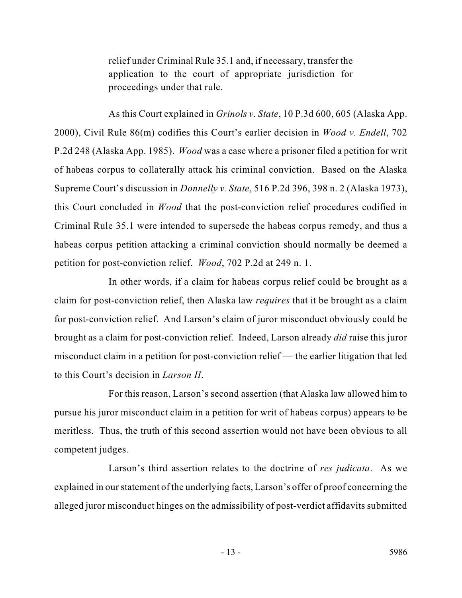relief under Criminal Rule 35.1 and, if necessary, transfer the application to the court of appropriate jurisdiction for proceedings under that rule.

 Supreme Court's discussion in *Donnelly v. State*, 516 P.2d 396, 398 n. 2 (Alaska 1973), this Court concluded in *Wood* that the post-conviction relief procedures codified in As this Court explained in *Grinols v. State*, 10 P.3d 600, 605 (Alaska App. 2000), Civil Rule 86(m) codifies this Court's earlier decision in *Wood v. Endell*, 702 P.2d 248 (Alaska App. 1985). *Wood* was a case where a prisoner filed a petition for writ of habeas corpus to collaterally attack his criminal conviction. Based on the Alaska Criminal Rule 35.1 were intended to supersede the habeas corpus remedy, and thus a habeas corpus petition attacking a criminal conviction should normally be deemed a petition for post-conviction relief. *Wood*, 702 P.2d at 249 n. 1.

 claim for post-conviction relief, then Alaska law *requires* that it be brought as a claim for post-conviction relief. And Larson's claim of juror misconduct obviously could be brought as a claim for post-conviction relief. Indeed, Larson already *did* raise this juror misconduct claim in a petition for post-conviction relief — the earlier litigation that led In other words, if a claim for habeas corpus relief could be brought as a to this Court's decision in *Larson II*.

 For this reason, Larson's second assertion (that Alaska law allowed him to pursue his juror misconduct claim in a petition for writ of habeas corpus) appears to be meritless. Thus, the truth of this second assertion would not have been obvious to all competent judges.

 explained in our statement of the underlying facts, Larson's offer of proof concerning the alleged juror misconduct hinges on the admissibility of post-verdict affidavits submitted Larson's third assertion relates to the doctrine of *res judicata*. As we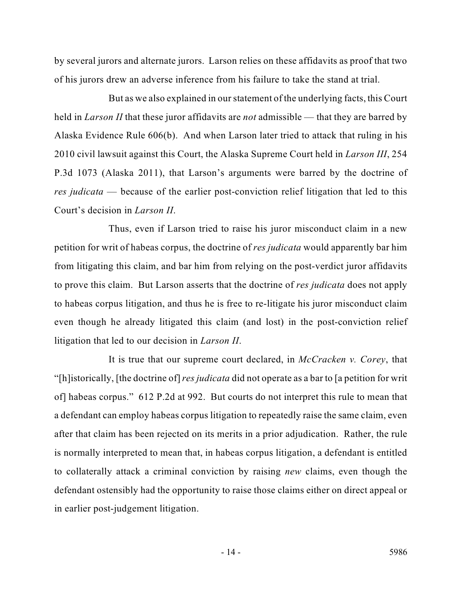by several jurors and alternate jurors. Larson relies on these affidavits as proof that two of his jurors drew an adverse inference from his failure to take the stand at trial.

 *res judicata* — because of the earlier post-conviction relief litigation that led to this But as we also explained in our statement of the underlying facts, this Court held in *Larson II* that these juror affidavits are *not* admissible — that they are barred by Alaska Evidence Rule 606(b). And when Larson later tried to attack that ruling in his 2010 civil lawsuit against this Court, the Alaska Supreme Court held in *Larson III*, 254 P.3d 1073 (Alaska 2011), that Larson's arguments were barred by the doctrine of Court's decision in *Larson II*.

 from litigating this claim, and bar him from relying on the post-verdict juror affidavits Thus, even if Larson tried to raise his juror misconduct claim in a new petition for writ of habeas corpus, the doctrine of *res judicata* would apparently bar him to prove this claim. But Larson asserts that the doctrine of *res judicata* does not apply to habeas corpus litigation, and thus he is free to re-litigate his juror misconduct claim even though he already litigated this claim (and lost) in the post-conviction relief litigation that led to our decision in *Larson II*.

 "[h]istorically, [the doctrine of] *res judicata* did not operate as a bar to [a petition for writ is normally interpreted to mean that, in habeas corpus litigation, a defendant is entitled It is true that our supreme court declared, in *McCracken v. Corey*, that of] habeas corpus." 612 P.2d at 992. But courts do not interpret this rule to mean that a defendant can employ habeas corpus litigation to repeatedly raise the same claim, even after that claim has been rejected on its merits in a prior adjudication. Rather, the rule to collaterally attack a criminal conviction by raising *new* claims, even though the defendant ostensibly had the opportunity to raise those claims either on direct appeal or in earlier post-judgement litigation.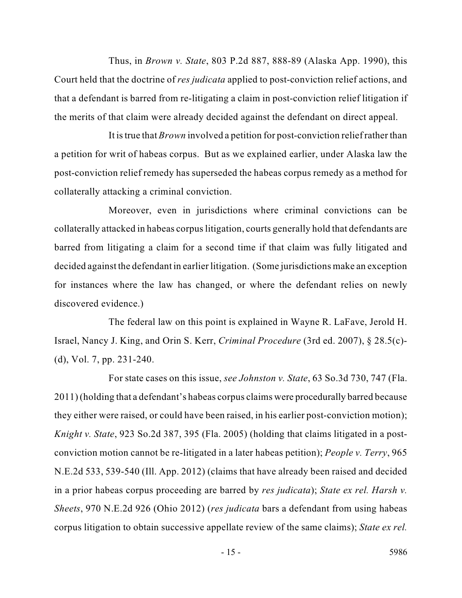Thus, in *Brown v. State*, 803 P.2d 887, 888-89 (Alaska App. 1990), this Court held that the doctrine of *res judicata* applied to post-conviction relief actions, and that a defendant is barred from re-litigating a claim in post-conviction relief litigation if the merits of that claim were already decided against the defendant on direct appeal.

 a petition for writ of habeas corpus. But as we explained earlier, under Alaska law the post-conviction relief remedy has superseded the habeas corpus remedy as a method for It is true that *Brown* involved a petition for post-conviction relief rather than collaterally attacking a criminal conviction.

Moreover, even in jurisdictions where criminal convictions can be collaterally attacked in habeas corpus litigation, courts generally hold that defendants are barred from litigating a claim for a second time if that claim was fully litigated and decided against the defendant in earlier litigation. (Some jurisdictions make an exception for instances where the law has changed, or where the defendant relies on newly discovered evidence.)

 The federal law on this point is explained in Wayne R. LaFave, Jerold H. Israel, Nancy J. King, and Orin S. Kerr, *Criminal Procedure* (3rd ed. 2007), § 28.5(c) (d), Vol. 7, pp. 231-240.

 For state cases on this issue, *see Johnston v. State*, 63 So.3d 730, 747 (Fla. *Knight v. State*, 923 So.2d 387, 395 (Fla. 2005) (holding that claims litigated in a post- conviction motion cannot be re-litigated in a later habeas petition); *People v. Terry*, 965 corpus litigation to obtain successive appellate review of the same claims); *State ex rel.*  2011) (holding that a defendant's habeas corpus claims were procedurally barred because they either were raised, or could have been raised, in his earlier post-conviction motion); N.E.2d 533, 539-540 (Ill. App. 2012) (claims that have already been raised and decided in a prior habeas corpus proceeding are barred by *res judicata*); *State ex rel. Harsh v. Sheets*, 970 N.E.2d 926 (Ohio 2012) (*res judicata* bars a defendant from using habeas